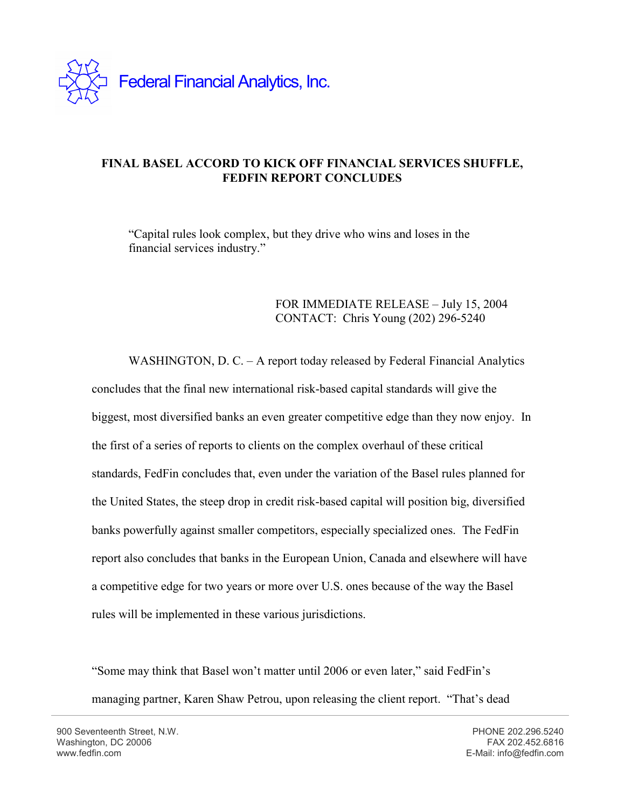

## **FINAL BASEL ACCORD TO KICK OFF FINANCIAL SERVICES SHUFFLE, FEDFIN REPORT CONCLUDES**

"Capital rules look complex, but they drive who wins and loses in the financial services industry."

## FOR IMMEDIATE RELEASE – July 15, 2004 CONTACT: Chris Young (202) 296-5240

WASHINGTON, D. C. – A report today released by Federal Financial Analytics concludes that the final new international risk-based capital standards will give the biggest, most diversified banks an even greater competitive edge than they now enjoy. In the first of a series of reports to clients on the complex overhaul of these critical standards, FedFin concludes that, even under the variation of the Basel rules planned for the United States, the steep drop in credit risk-based capital will position big, diversified banks powerfully against smaller competitors, especially specialized ones. The FedFin report also concludes that banks in the European Union, Canada and elsewhere will have a competitive edge for two years or more over U.S. ones because of the way the Basel rules will be implemented in these various jurisdictions.

"Some may think that Basel won't matter until 2006 or even later," said FedFin's managing partner, Karen Shaw Petrou, upon releasing the client report. "That's dead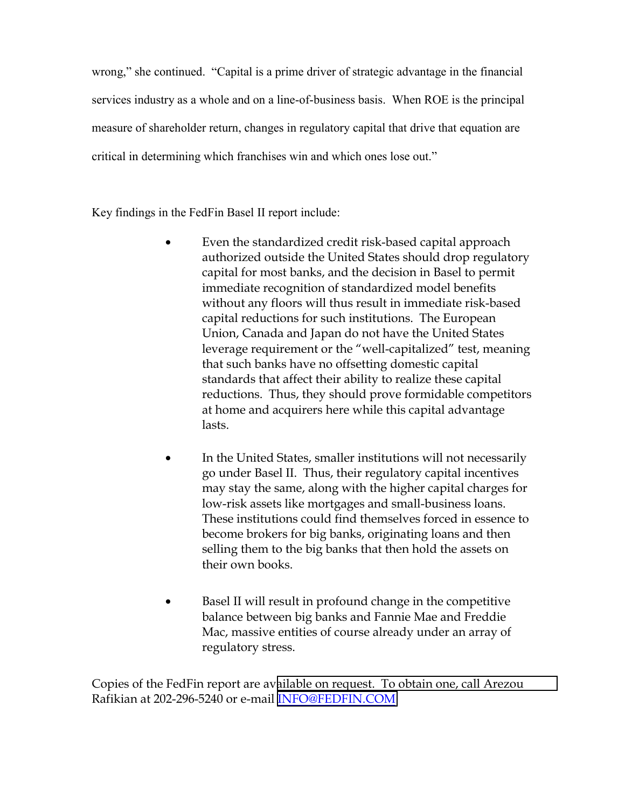wrong," she continued. "Capital is a prime driver of strategic advantage in the financial services industry as a whole and on a line-of-business basis. When ROE is the principal measure of shareholder return, changes in regulatory capital that drive that equation are critical in determining which franchises win and which ones lose out."

Key findings in the FedFin Basel II report include:

- Even the standardized credit risk-based capital approach authorized outside the United States should drop regulatory capital for most banks, and the decision in Basel to permit immediate recognition of standardized model benefits without any floors will thus result in immediate risk-based capital reductions for such institutions. The European Union, Canada and Japan do not have the United States leverage requirement or the "well-capitalized" test, meaning that such banks have no offsetting domestic capital standards that affect their ability to realize these capital reductions. Thus, they should prove formidable competitors at home and acquirers here while this capital advantage lasts.
- In the United States, smaller institutions will not necessarily go under Basel II. Thus, their regulatory capital incentives may stay the same, along with the higher capital charges for low-risk assets like mortgages and small-business loans. These institutions could find themselves forced in essence to become brokers for big banks, originating loans and then selling them to the big banks that then hold the assets on their own books.
- Basel II will result in profound change in the competitive balance between big banks and Fannie Mae and Freddie Mac, massive entities of course already under an array of regulatory stress.

Copies of the FedFin report are av[ailable on request. To obtain one, call Arezou](mailto:INFO@FEDFIN.COM)  Rafikian at 202-296-5240 or e-mail [INFO@FEDFIN.COM](mailto:INFO@FEDFIN.COM)